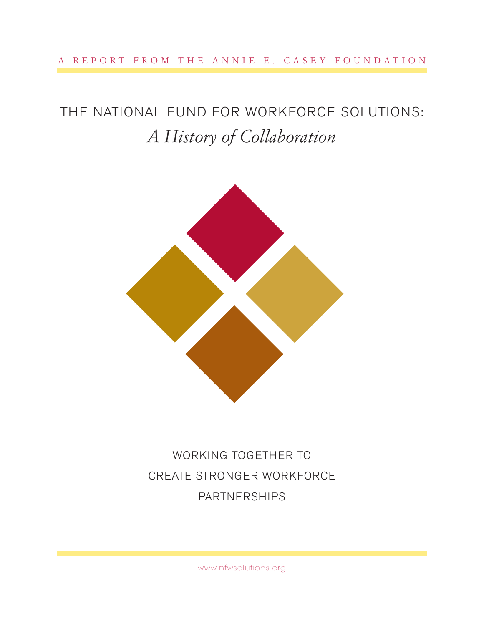#### A REPORT FROM THE ANNIE E. CASEY FOUNDATION

# THE NATIONAL FUND FOR WORKFORCE SOLUTIONS: *A History of Collaboration*



WORKING TOGETHER TO CREATE STRONGER WORKFORCE PARTNERSHIPS

www.nfwsolutions.org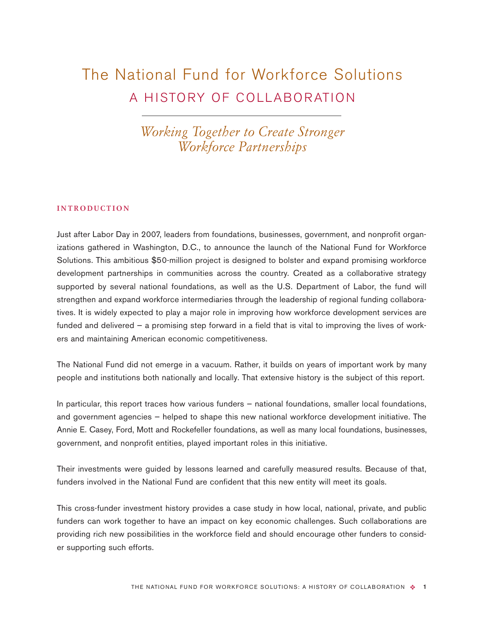## The National Fund for Workforce Solutions A HISTORY OF COLLABORATION

*Working Together to Create Stronger Workforce Partnerships*

#### **INTRODUCTION**

Just after Labor Day in 2007, leaders from foundations, businesses, government, and nonprofit organizations gathered in Washington, D.C., to announce the launch of the National Fund for Workforce Solutions. This ambitious \$50-million project is designed to bolster and expand promising workforce development partnerships in communities across the country. Created as a collaborative strategy supported by several national foundations, as well as the U.S. Department of Labor, the fund will strengthen and expand workforce intermediaries through the leadership of regional funding collaboratives. It is widely expected to play a major role in improving how workforce development services are funded and delivered — a promising step forward in a field that is vital to improving the lives of workers and maintaining American economic competitiveness.

The National Fund did not emerge in a vacuum. Rather, it builds on years of important work by many people and institutions both nationally and locally. That extensive history is the subject of this report.

In particular, this report traces how various funders — national foundations, smaller local foundations, and government agencies — helped to shape this new national workforce development initiative. The Annie E. Casey, Ford, Mott and Rockefeller foundations, as well as many local foundations, businesses, government, and nonprofit entities, played important roles in this initiative.

Their investments were guided by lessons learned and carefully measured results. Because of that, funders involved in the National Fund are confident that this new entity will meet its goals.

This cross-funder investment history provides a case study in how local, national, private, and public funders can work together to have an impact on key economic challenges. Such collaborations are providing rich new possibilities in the workforce field and should encourage other funders to consider supporting such efforts.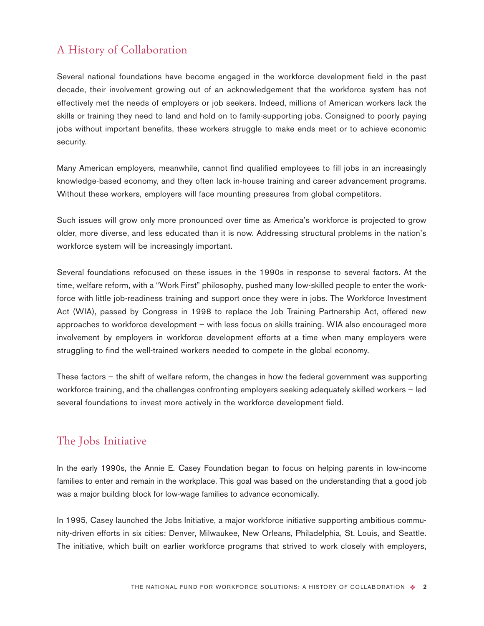## A History of Collaboration

Several national foundations have become engaged in the workforce development field in the past decade, their involvement growing out of an acknowledgement that the workforce system has not effectively met the needs of employers or job seekers. Indeed, millions of American workers lack the skills or training they need to land and hold on to family-supporting jobs. Consigned to poorly paying jobs without important benefits, these workers struggle to make ends meet or to achieve economic security.

Many American employers, meanwhile, cannot find qualified employees to fill jobs in an increasingly knowledge-based economy, and they often lack in-house training and career advancement programs. Without these workers, employers will face mounting pressures from global competitors.

Such issues will grow only more pronounced over time as America's workforce is projected to grow older, more diverse, and less educated than it is now. Addressing structural problems in the nation's workforce system will be increasingly important.

Several foundations refocused on these issues in the 1990s in response to several factors. At the time, welfare reform, with a "Work First" philosophy, pushed many low-skilled people to enter the workforce with little job-readiness training and support once they were in jobs. The Workforce Investment Act (WIA), passed by Congress in 1998 to replace the Job Training Partnership Act, offered new approaches to workforce development — with less focus on skills training. WIA also encouraged more involvement by employers in workforce development efforts at a time when many employers were struggling to find the well-trained workers needed to compete in the global economy.

These factors — the shift of welfare reform, the changes in how the federal government was supporting workforce training, and the challenges confronting employers seeking adequately skilled workers — led several foundations to invest more actively in the workforce development field.

### The Jobs Initiative

In the early 1990s, the Annie E. Casey Foundation began to focus on helping parents in low-income families to enter and remain in the workplace. This goal was based on the understanding that a good job was a major building block for low-wage families to advance economically.

In 1995, Casey launched the Jobs Initiative, a major workforce initiative supporting ambitious community-driven efforts in six cities: Denver, Milwaukee, New Orleans, Philadelphia, St. Louis, and Seattle. The initiative, which built on earlier workforce programs that strived to work closely with employers,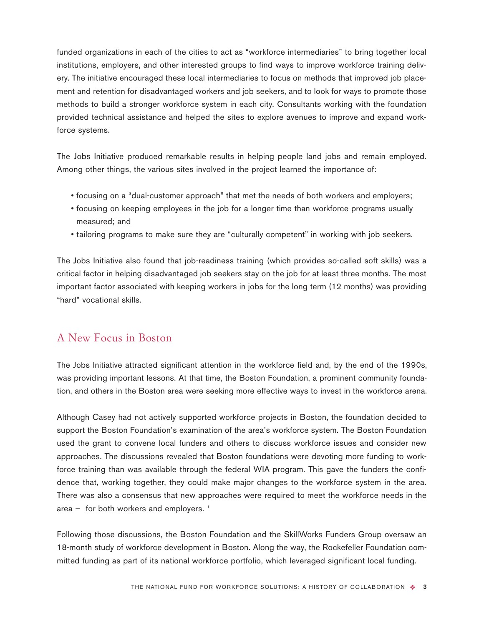funded organizations in each of the cities to act as "workforce intermediaries" to bring together local institutions, employers, and other interested groups to find ways to improve workforce training delivery. The initiative encouraged these local intermediaries to focus on methods that improved job placement and retention for disadvantaged workers and job seekers, and to look for ways to promote those methods to build a stronger workforce system in each city. Consultants working with the foundation provided technical assistance and helped the sites to explore avenues to improve and expand workforce systems.

The Jobs Initiative produced remarkable results in helping people land jobs and remain employed. Among other things, the various sites involved in the project learned the importance of:

- focusing on a "dual-customer approach" that met the needs of both workers and employers;
- focusing on keeping employees in the job for a longer time than workforce programs usually measured; and
- tailoring programs to make sure they are "culturally competent" in working with job seekers.

The Jobs Initiative also found that job-readiness training (which provides so-called soft skills) was a critical factor in helping disadvantaged job seekers stay on the job for at least three months. The most important factor associated with keeping workers in jobs for the long term (12 months) was providing "hard" vocational skills.

#### A New Focus in Boston

The Jobs Initiative attracted significant attention in the workforce field and, by the end of the 1990s, was providing important lessons. At that time, the Boston Foundation, a prominent community foundation, and others in the Boston area were seeking more effective ways to invest in the workforce arena.

Although Casey had not actively supported workforce projects in Boston, the foundation decided to support the Boston Foundation's examination of the area's workforce system. The Boston Foundation used the grant to convene local funders and others to discuss workforce issues and consider new approaches. The discussions revealed that Boston foundations were devoting more funding to workforce training than was available through the federal WIA program. This gave the funders the confidence that, working together, they could make major changes to the workforce system in the area. There was also a consensus that new approaches were required to meet the workforce needs in the area  $-$  for both workers and employers.  $<sup>1</sup>$ </sup>

Following those discussions, the Boston Foundation and the SkillWorks Funders Group oversaw an 18-month study of workforce development in Boston. Along the way, the Rockefeller Foundation committed funding as part of its national workforce portfolio, which leveraged significant local funding.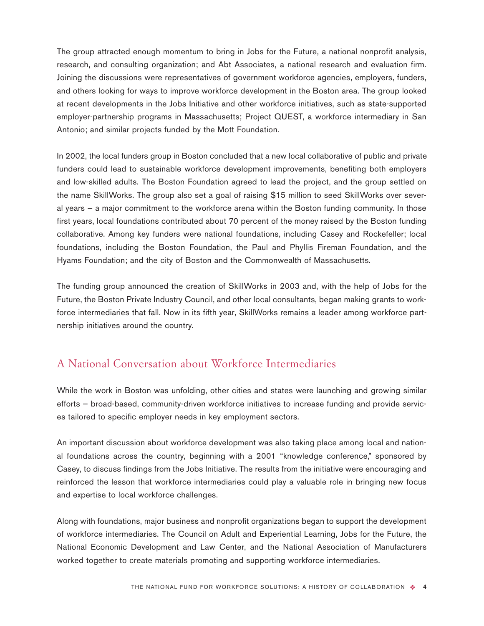The group attracted enough momentum to bring in Jobs for the Future, a national nonprofit analysis, research, and consulting organization; and Abt Associates, a national research and evaluation firm. Joining the discussions were representatives of government workforce agencies, employers, funders, and others looking for ways to improve workforce development in the Boston area. The group looked at recent developments in the Jobs Initiative and other workforce initiatives, such as state-supported employer-partnership programs in Massachusetts; Project QUEST, a workforce intermediary in San Antonio; and similar projects funded by the Mott Foundation.

In 2002, the local funders group in Boston concluded that a new local collaborative of public and private funders could lead to sustainable workforce development improvements, benefiting both employers and low-skilled adults. The Boston Foundation agreed to lead the project, and the group settled on the name SkillWorks. The group also set a goal of raising \$15 million to seed SkillWorks over several years — a major commitment to the workforce arena within the Boston funding community. In those first years, local foundations contributed about 70 percent of the money raised by the Boston funding collaborative. Among key funders were national foundations, including Casey and Rockefeller; local foundations, including the Boston Foundation, the Paul and Phyllis Fireman Foundation, and the Hyams Foundation; and the city of Boston and the Commonwealth of Massachusetts.

The funding group announced the creation of SkillWorks in 2003 and, with the help of Jobs for the Future, the Boston Private Industry Council, and other local consultants, began making grants to workforce intermediaries that fall. Now in its fifth year, SkillWorks remains a leader among workforce partnership initiatives around the country.

#### A National Conversation about Workforce Intermediaries

While the work in Boston was unfolding, other cities and states were launching and growing similar efforts — broad-based, community-driven workforce initiatives to increase funding and provide services tailored to specific employer needs in key employment sectors.

An important discussion about workforce development was also taking place among local and national foundations across the country, beginning with a 2001 "knowledge conference," sponsored by Casey, to discuss findings from the Jobs Initiative. The results from the initiative were encouraging and reinforced the lesson that workforce intermediaries could play a valuable role in bringing new focus and expertise to local workforce challenges.

Along with foundations, major business and nonprofit organizations began to support the development of workforce intermediaries. The Council on Adult and Experiential Learning, Jobs for the Future, the National Economic Development and Law Center, and the National Association of Manufacturers worked together to create materials promoting and supporting workforce intermediaries.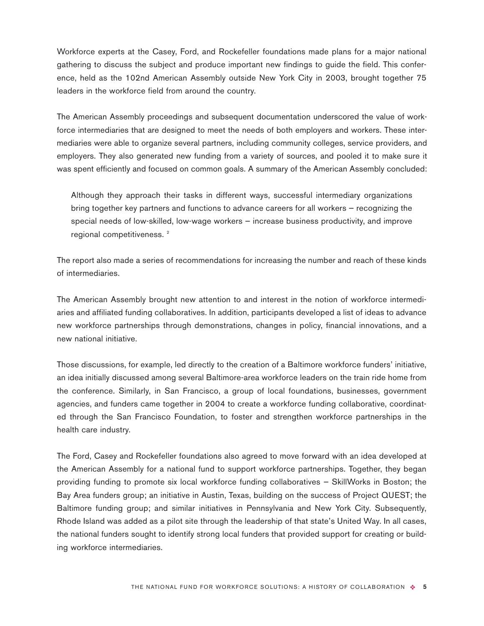Workforce experts at the Casey, Ford, and Rockefeller foundations made plans for a major national gathering to discuss the subject and produce important new findings to guide the field. This conference, held as the 102nd American Assembly outside New York City in 2003, brought together 75 leaders in the workforce field from around the country.

The American Assembly proceedings and subsequent documentation underscored the value of workforce intermediaries that are designed to meet the needs of both employers and workers. These intermediaries were able to organize several partners, including community colleges, service providers, and employers. They also generated new funding from a variety of sources, and pooled it to make sure it was spent efficiently and focused on common goals. A summary of the American Assembly concluded:

Although they approach their tasks in different ways, successful intermediary organizations bring together key partners and functions to advance careers for all workers — recognizing the special needs of low-skilled, low-wage workers — increase business productivity, and improve regional competitiveness.<sup>2</sup>

The report also made a series of recommendations for increasing the number and reach of these kinds of intermediaries.

The American Assembly brought new attention to and interest in the notion of workforce intermediaries and affiliated funding collaboratives. In addition, participants developed a list of ideas to advance new workforce partnerships through demonstrations, changes in policy, financial innovations, and a new national initiative.

Those discussions, for example, led directly to the creation of a Baltimore workforce funders' initiative, an idea initially discussed among several Baltimore-area workforce leaders on the train ride home from the conference. Similarly, in San Francisco, a group of local foundations, businesses, government agencies, and funders came together in 2004 to create a workforce funding collaborative, coordinated through the San Francisco Foundation, to foster and strengthen workforce partnerships in the health care industry.

The Ford, Casey and Rockefeller foundations also agreed to move forward with an idea developed at the American Assembly for a national fund to support workforce partnerships. Together, they began providing funding to promote six local workforce funding collaboratives — SkillWorks in Boston; the Bay Area funders group; an initiative in Austin, Texas, building on the success of Project QUEST; the Baltimore funding group; and similar initiatives in Pennsylvania and New York City. Subsequently, Rhode Island was added as a pilot site through the leadership of that state's United Way. In all cases, the national funders sought to identify strong local funders that provided support for creating or building workforce intermediaries.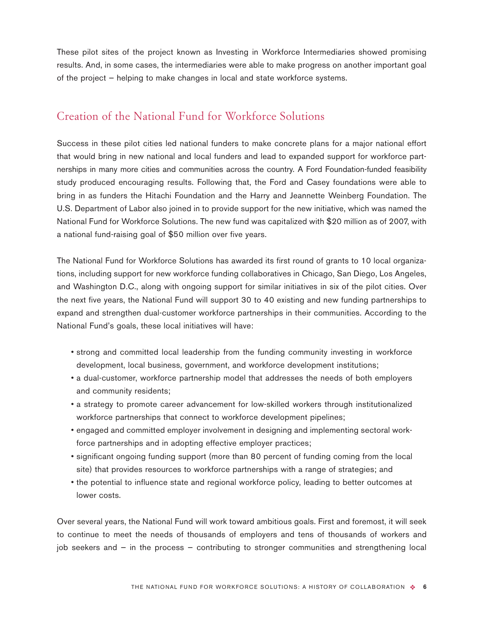These pilot sites of the project known as Investing in Workforce Intermediaries showed promising results. And, in some cases, the intermediaries were able to make progress on another important goal of the project — helping to make changes in local and state workforce systems.

## Creation of the National Fund for Workforce Solutions

Success in these pilot cities led national funders to make concrete plans for a major national effort that would bring in new national and local funders and lead to expanded support for workforce partnerships in many more cities and communities across the country. A Ford Foundation-funded feasibility study produced encouraging results. Following that, the Ford and Casey foundations were able to bring in as funders the Hitachi Foundation and the Harry and Jeannette Weinberg Foundation. The U.S. Department of Labor also joined in to provide support for the new initiative, which was named the National Fund for Workforce Solutions. The new fund was capitalized with \$20 million as of 2007, with a national fund-raising goal of \$50 million over five years.

The National Fund for Workforce Solutions has awarded its first round of grants to 10 local organizations, including support for new workforce funding collaboratives in Chicago, San Diego, Los Angeles, and Washington D.C., along with ongoing support for similar initiatives in six of the pilot cities. Over the next five years, the National Fund will support 30 to 40 existing and new funding partnerships to expand and strengthen dual-customer workforce partnerships in their communities. According to the National Fund's goals, these local initiatives will have:

- strong and committed local leadership from the funding community investing in workforce development, local business, government, and workforce development institutions;
- a dual-customer, workforce partnership model that addresses the needs of both employers and community residents;
- a strategy to promote career advancement for low-skilled workers through institutionalized workforce partnerships that connect to workforce development pipelines;
- engaged and committed employer involvement in designing and implementing sectoral workforce partnerships and in adopting effective employer practices;
- significant ongoing funding support (more than 80 percent of funding coming from the local site) that provides resources to workforce partnerships with a range of strategies; and
- the potential to influence state and regional workforce policy, leading to better outcomes at lower costs.

Over several years, the National Fund will work toward ambitious goals. First and foremost, it will seek to continue to meet the needs of thousands of employers and tens of thousands of workers and job seekers and — in the process — contributing to stronger communities and strengthening local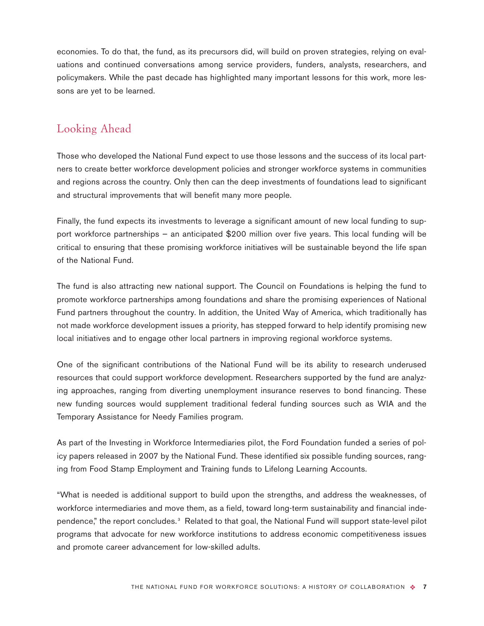economies. To do that, the fund, as its precursors did, will build on proven strategies, relying on evaluations and continued conversations among service providers, funders, analysts, researchers, and policymakers. While the past decade has highlighted many important lessons for this work, more lessons are yet to be learned.

#### Looking Ahead

Those who developed the National Fund expect to use those lessons and the success of its local partners to create better workforce development policies and stronger workforce systems in communities and regions across the country. Only then can the deep investments of foundations lead to significant and structural improvements that will benefit many more people.

Finally, the fund expects its investments to leverage a significant amount of new local funding to support workforce partnerships — an anticipated \$200 million over five years. This local funding will be critical to ensuring that these promising workforce initiatives will be sustainable beyond the life span of the National Fund.

The fund is also attracting new national support. The Council on Foundations is helping the fund to promote workforce partnerships among foundations and share the promising experiences of National Fund partners throughout the country. In addition, the United Way of America, which traditionally has not made workforce development issues a priority, has stepped forward to help identify promising new local initiatives and to engage other local partners in improving regional workforce systems.

One of the significant contributions of the National Fund will be its ability to research underused resources that could support workforce development. Researchers supported by the fund are analyzing approaches, ranging from diverting unemployment insurance reserves to bond financing. These new funding sources would supplement traditional federal funding sources such as WIA and the Temporary Assistance for Needy Families program.

As part of the Investing in Workforce Intermediaries pilot, the Ford Foundation funded a series of policy papers released in 2007 by the National Fund. These identified six possible funding sources, ranging from Food Stamp Employment and Training funds to Lifelong Learning Accounts.

"What is needed is additional support to build upon the strengths, and address the weaknesses, of workforce intermediaries and move them, as a field, toward long-term sustainability and financial independence," the report concludes. <sup>3</sup> Related to that goal, the National Fund will support state-level pilot programs that advocate for new workforce institutions to address economic competitiveness issues and promote career advancement for low-skilled adults.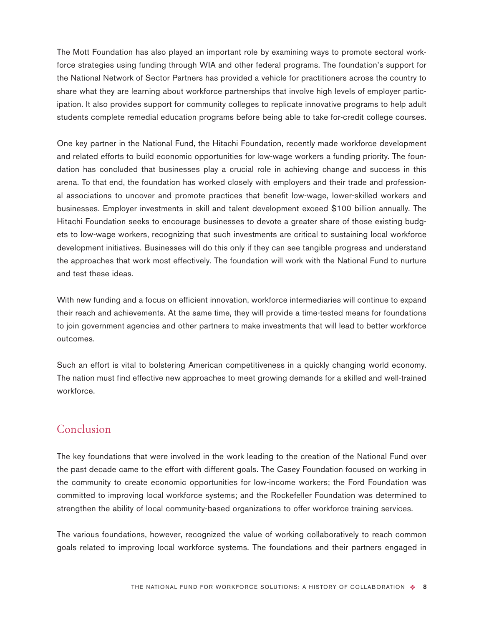The Mott Foundation has also played an important role by examining ways to promote sectoral workforce strategies using funding through WIA and other federal programs. The foundation's support for the National Network of Sector Partners has provided a vehicle for practitioners across the country to share what they are learning about workforce partnerships that involve high levels of employer participation. It also provides support for community colleges to replicate innovative programs to help adult students complete remedial education programs before being able to take for-credit college courses.

One key partner in the National Fund, the Hitachi Foundation, recently made workforce development and related efforts to build economic opportunities for low-wage workers a funding priority. The foundation has concluded that businesses play a crucial role in achieving change and success in this arena. To that end, the foundation has worked closely with employers and their trade and professional associations to uncover and promote practices that benefit low-wage, lower-skilled workers and businesses. Employer investments in skill and talent development exceed \$100 billion annually. The Hitachi Foundation seeks to encourage businesses to devote a greater share of those existing budgets to low-wage workers, recognizing that such investments are critical to sustaining local workforce development initiatives. Businesses will do this only if they can see tangible progress and understand the approaches that work most effectively. The foundation will work with the National Fund to nurture and test these ideas.

With new funding and a focus on efficient innovation, workforce intermediaries will continue to expand their reach and achievements. At the same time, they will provide a time-tested means for foundations to join government agencies and other partners to make investments that will lead to better workforce outcomes.

Such an effort is vital to bolstering American competitiveness in a quickly changing world economy. The nation must find effective new approaches to meet growing demands for a skilled and well-trained workforce.

### Conclusion

The key foundations that were involved in the work leading to the creation of the National Fund over the past decade came to the effort with different goals. The Casey Foundation focused on working in the community to create economic opportunities for low-income workers; the Ford Foundation was committed to improving local workforce systems; and the Rockefeller Foundation was determined to strengthen the ability of local community-based organizations to offer workforce training services.

The various foundations, however, recognized the value of working collaboratively to reach common goals related to improving local workforce systems. The foundations and their partners engaged in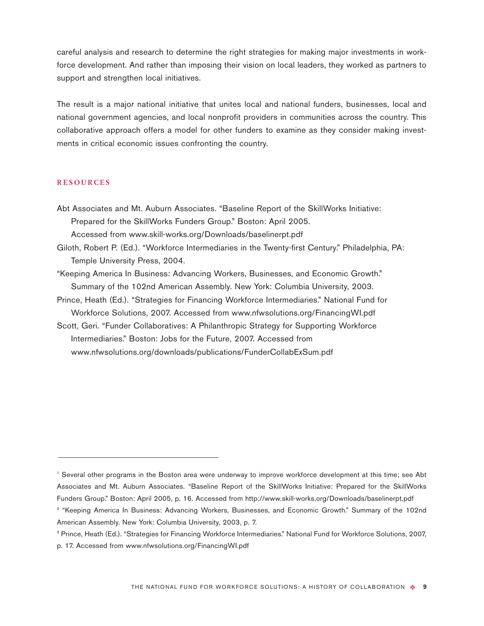careful analysis and research to determine the right strategies for making major investments in workforce development. And rather than imposing their vision on local leaders, they worked as partners to support and strengthen local initiatives.

The result is a major national initiative that unites local and national funders, businesses, local and national government agencies, and local nonprofit providers in communities across the country. This collaborative approach offers a model for other funders to examine as they consider making investments in critical economic issues confronting the country.

#### **RESOURCES**

- Abt Associates and Mt. Auburn Associates. "Baseline Report of the SkillWorks Initiative: Prepared for the SkillWorks Funders Group." Boston: April 2005. Accessed from www.skill-works.org/Downloads/baselinerpt.pdf
- Giloth, Robert P. (Ed.). "Workforce Intermediaries in the Twenty-first Century." Philadelphia, PA: Temple University Press, 2004.
- "Keeping America In Business: Advancing Workers, Businesses, and Economic Growth." Summary of the 102nd American Assembly. New York: Columbia University, 2003.
- Prince, Heath (Ed.). "Strategies for Financing Workforce Intermediaries." National Fund for Workforce Solutions, 2007. Accessed from www.nfwsolutions.org/FinancingWI.pdf
- Scott, Geri. "Funder Collaboratives: A Philanthropic Strategy for Supporting Workforce Intermediaries." Boston: Jobs for the Future, 2007. Accessed from www.nfwsolutions.org/downloads/publications/FunderCollabExSum.pdf

<sup>1</sup> Several other programs in the Boston area were underway to improve workforce development at this time; see Abt Associates and Mt. Auburn Associates. "Baseline Report of the SkillWorks Initiative: Prepared for the SkillWorks Funders Group." Boston: April 2005, p. 16. Accessed from http://www.skill-works.org/Downloads/baselinerpt.pdf

<sup>&</sup>lt;sup>2</sup> "Keeping America In Business: Advancing Workers, Businesses, and Economic Growth." Summary of the 102nd American Assembly. New York: Columbia University, 2003, p. 7.

<sup>&</sup>lt;sup>3</sup> Prince, Heath (Ed.). "Strategies for Financing Workforce Intermediaries." National Fund for Workforce Solutions, 2007, p. 17. Accessed from www.nfwsolutions.org/FinancingWI.pdf